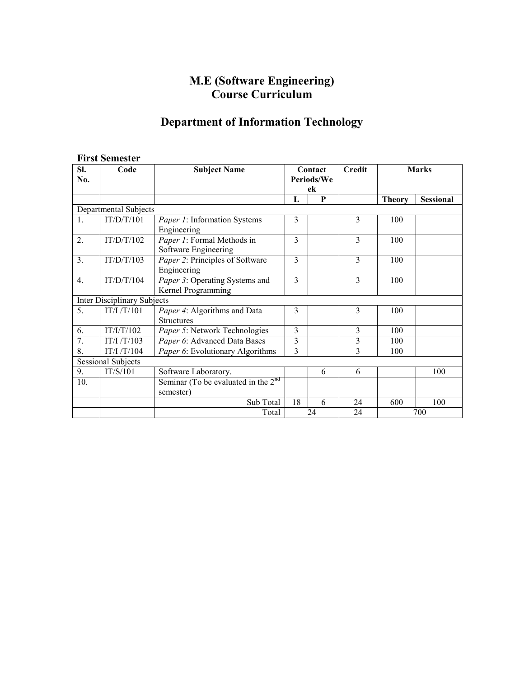# **M.E (Software Engineering) Course Curriculum**

# **Department of Information Technology**

## **First Semester**

| SI.                                | Code       | <b>Subject Name</b>                                  | Contact        |   | <b>Credit</b>  | <b>Marks</b>  |                  |
|------------------------------------|------------|------------------------------------------------------|----------------|---|----------------|---------------|------------------|
| No.                                |            |                                                      | Periods/We     |   |                |               |                  |
|                                    |            |                                                      | ek             |   |                |               |                  |
|                                    |            |                                                      | L              | P |                | <b>Theory</b> | <b>Sessional</b> |
| Departmental Subjects              |            |                                                      |                |   |                |               |                  |
| $\mathbf{1}$ .                     | IT/D/T/101 | Paper 1: Information Systems<br>Engineering          | 3              |   | 3              | 100           |                  |
| 2.                                 | IT/D/T/102 | Paper 1: Formal Methods in<br>Software Engineering   | 3              |   | 3              | 100           |                  |
| 3.                                 | IT/D/T/103 | Paper 2: Principles of Software<br>Engineering       | $\mathcal{E}$  |   | $\mathcal{E}$  | 100           |                  |
| 4.                                 | IT/D/T/104 | Paper 3: Operating Systems and<br>Kernel Programming | 3              |   | $\overline{3}$ | 100           |                  |
| <b>Inter Disciplinary Subjects</b> |            |                                                      |                |   |                |               |                  |
| 5.                                 | IT/I/T/101 | Paper 4: Algorithms and Data<br><b>Structures</b>    | 3              |   | 3              | 100           |                  |
| 6.                                 | IT/I/T/102 | Paper 5: Network Technologies                        | 3              |   | $\overline{3}$ | 100           |                  |
| 7.                                 | IT/I/T/103 | Paper 6: Advanced Data Bases                         | $\overline{3}$ |   | 3              | 100           |                  |
| 8.                                 | IT/I/T/104 | Paper 6: Evolutionary Algorithms                     | $\overline{3}$ |   | $\overline{3}$ | 100           |                  |
| <b>Sessional Subjects</b>          |            |                                                      |                |   |                |               |                  |
| 9.                                 | IT/S/101   | Software Laboratory.                                 |                | 6 | 6              |               | 100              |
| 10.                                |            | Seminar (To be evaluated in the $2nd$<br>semester)   |                |   |                |               |                  |
|                                    |            | Sub Total                                            | 18             | 6 | 24             | 600           | 100              |
|                                    |            | Total                                                | 24             |   | 24             | 700           |                  |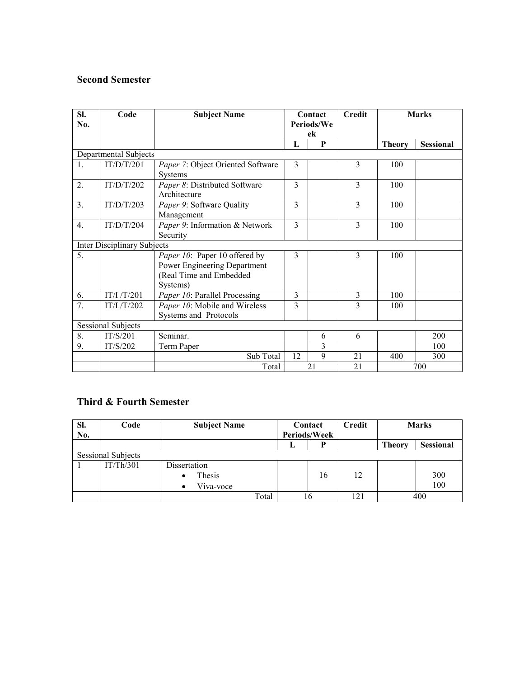# **Second Semester**

| SI.<br>No.                | Code                               | <b>Subject Name</b>                                 | Contact<br>Periods/We |   | <b>Credit</b>  | <b>Marks</b>  |                  |
|---------------------------|------------------------------------|-----------------------------------------------------|-----------------------|---|----------------|---------------|------------------|
|                           |                                    |                                                     | ek                    |   |                |               |                  |
|                           |                                    |                                                     | L                     | P |                | <b>Theory</b> | <b>Sessional</b> |
| Departmental Subjects     |                                    |                                                     |                       |   |                |               |                  |
| $\mathbf{1}$ .            | IT/D/T/201                         | Paper 7: Object Oriented Software<br><b>Systems</b> | 3                     |   | 3              | 100           |                  |
| $\overline{2}$ .          | IT/D/T/202                         | Paper 8: Distributed Software<br>Architecture       | 3                     |   | 3              | 100           |                  |
| 3.                        | IT/D/T/203                         | Paper 9: Software Quality<br>Management             | 3                     |   | 3              | 100           |                  |
| $\overline{4}$ .          | IT/D/T/204                         | Paper 9: Information & Network<br>Security          | 3                     |   | $\overline{3}$ | 100           |                  |
|                           | <b>Inter Disciplinary Subjects</b> |                                                     |                       |   |                |               |                  |
| 5.                        |                                    | Paper 10: Paper 10 offered by                       | 3                     |   | 3              | 100           |                  |
|                           |                                    | Power Engineering Department                        |                       |   |                |               |                  |
|                           |                                    | (Real Time and Embedded                             |                       |   |                |               |                  |
|                           |                                    | Systems)                                            |                       |   |                |               |                  |
| 6.                        | IT/I/T/201                         | Paper 10: Parallel Processing                       | 3                     |   | 3              | 100           |                  |
| $\overline{7}$ .          | IT/I/T/202                         | Paper 10: Mobile and Wireless                       | 3                     |   | 3              | 100           |                  |
|                           |                                    | Systems and Protocols                               |                       |   |                |               |                  |
| <b>Sessional Subjects</b> |                                    |                                                     |                       |   |                |               |                  |
| 8.                        | IT/S/201                           | Seminar.                                            |                       | 6 | 6              |               | 200              |
| 9.                        | IT/S/202                           | Term Paper                                          |                       | 3 |                |               | 100              |
|                           |                                    | Sub Total                                           | 12                    | 9 | 21             | 400           | 300              |
|                           |                                    | Total                                               | 21                    |   | 21             | 700           |                  |

# **Third & Fourth Semester**

| SI.<br>No.                | Code      | <b>Subject Name</b> | Contact<br>Periods/Week |    | <b>Credit</b> | <b>Marks</b>  |                  |  |
|---------------------------|-----------|---------------------|-------------------------|----|---------------|---------------|------------------|--|
|                           |           |                     |                         |    |               | <b>Theory</b> | <b>Sessional</b> |  |
| <b>Sessional Subjects</b> |           |                     |                         |    |               |               |                  |  |
|                           | IT/Th/301 | Dissertation        |                         |    |               |               |                  |  |
|                           |           | Thesis<br>$\bullet$ |                         | 16 | 12            |               | 300              |  |
|                           |           | Viva-voce           |                         |    |               |               | 100              |  |
|                           |           | Total               | 16                      |    | 121           | 400           |                  |  |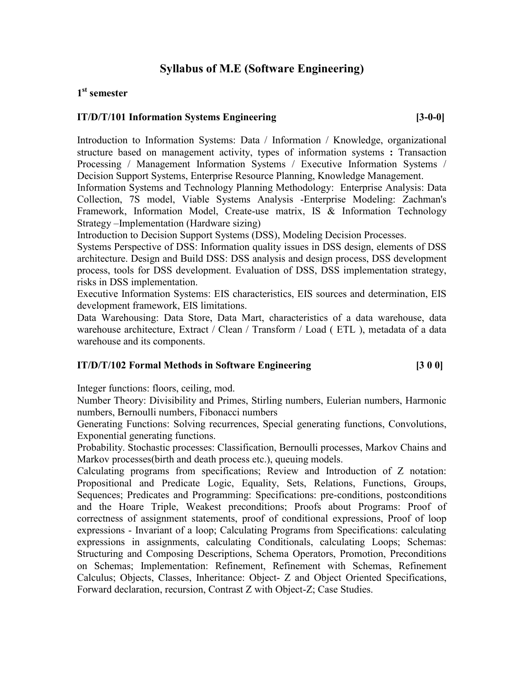# **Syllabus of M.E (Software Engineering)**

# **1 st semester**

### **IT/D/T/101 Information Systems Engineering [3-0-0]**

Introduction to Information Systems: Data / Information / Knowledge, organizational structure based on management activity, types of information systems **:** Transaction Processing / Management Information Systems / Executive Information Systems / Decision Support Systems, Enterprise Resource Planning, Knowledge Management.

Information Systems and Technology Planning Methodology: Enterprise Analysis: Data Collection, 7S model, Viable Systems Analysis -Enterprise Modeling: Zachman's Framework, Information Model, Create-use matrix, IS & Information Technology Strategy –Implementation (Hardware sizing)

Introduction to Decision Support Systems (DSS), Modeling Decision Processes.

Systems Perspective of DSS: Information quality issues in DSS design, elements of DSS architecture. Design and Build DSS: DSS analysis and design process, DSS development process, tools for DSS development. Evaluation of DSS, DSS implementation strategy, risks in DSS implementation.

Executive Information Systems: EIS characteristics, EIS sources and determination, EIS development framework, EIS limitations.

Data Warehousing: Data Store, Data Mart, characteristics of a data warehouse, data warehouse architecture, Extract / Clean / Transform / Load ( ETL ), metadata of a data warehouse and its components.

### **IT/D/T/102 Formal Methods in Software Engineering [3 0 0]**

Integer functions: floors, ceiling, mod.

Number Theory: Divisibility and Primes, Stirling numbers, Eulerian numbers, Harmonic numbers, Bernoulli numbers, Fibonacci numbers

Generating Functions: Solving recurrences, Special generating functions, Convolutions, Exponential generating functions.

Probability. Stochastic processes: Classification, Bernoulli processes, Markov Chains and Markov processes(birth and death process etc.), queuing models.

Calculating programs from specifications; Review and Introduction of Z notation: Propositional and Predicate Logic, Equality, Sets, Relations, Functions, Groups, Sequences; Predicates and Programming: Specifications: pre-conditions, postconditions and the Hoare Triple, Weakest preconditions; Proofs about Programs: Proof of correctness of assignment statements, proof of conditional expressions, Proof of loop expressions - Invariant of a loop; Calculating Programs from Specifications: calculating expressions in assignments, calculating Conditionals, calculating Loops; Schemas: Structuring and Composing Descriptions, Schema Operators, Promotion, Preconditions on Schemas; Implementation: Refinement, Refinement with Schemas, Refinement Calculus; Objects, Classes, Inheritance: Object- Z and Object Oriented Specifications, Forward declaration, recursion, Contrast Z with Object-Z; Case Studies.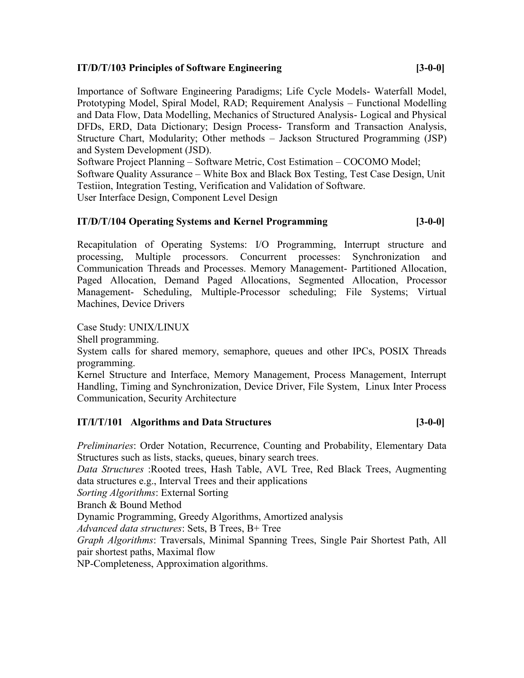### **IT/D/T/103 Principles of Software Engineering [3-0-0]**

Importance of Software Engineering Paradigms; Life Cycle Models- Waterfall Model, Prototyping Model, Spiral Model, RAD; Requirement Analysis – Functional Modelling and Data Flow, Data Modelling, Mechanics of Structured Analysis- Logical and Physical DFDs, ERD, Data Dictionary; Design Process- Transform and Transaction Analysis, Structure Chart, Modularity; Other methods – Jackson Structured Programming (JSP) and System Development (JSD).

Software Project Planning – Software Metric, Cost Estimation – COCOMO Model; Software Quality Assurance – White Box and Black Box Testing, Test Case Design, Unit Testiion, Integration Testing, Verification and Validation of Software. User Interface Design, Component Level Design

# **IT/D/T/104 Operating Systems and Kernel Programming [3-0-0]**

Recapitulation of Operating Systems: I/O Programming, Interrupt structure and processing, Multiple processors. Concurrent processes: Synchronization and Communication Threads and Processes. Memory Management- Partitioned Allocation, Paged Allocation, Demand Paged Allocations, Segmented Allocation, Processor Management- Scheduling, Multiple-Processor scheduling; File Systems; Virtual Machines, Device Drivers

Case Study: UNIX/LINUX

Shell programming.

System calls for shared memory, semaphore, queues and other IPCs, POSIX Threads programming.

Kernel Structure and Interface, Memory Management, Process Management, Interrupt Handling, Timing and Synchronization, Device Driver, File System, Linux Inter Process Communication, Security Architecture

# **IT/I/T/101 Algorithms and Data Structures [3-0-0]**

*Preliminaries*: Order Notation, Recurrence, Counting and Probability, Elementary Data Structures such as lists, stacks, queues, binary search trees.

*Data Structures* :Rooted trees, Hash Table, AVL Tree, Red Black Trees, Augmenting data structures e.g., Interval Trees and their applications

*Sorting Algorithms*: External Sorting

Branch & Bound Method

Dynamic Programming, Greedy Algorithms, Amortized analysis

*Advanced data structures*: Sets, B Trees, B+ Tree

*Graph Algorithms*: Traversals, Minimal Spanning Trees, Single Pair Shortest Path, All pair shortest paths, Maximal flow

NP-Completeness, Approximation algorithms.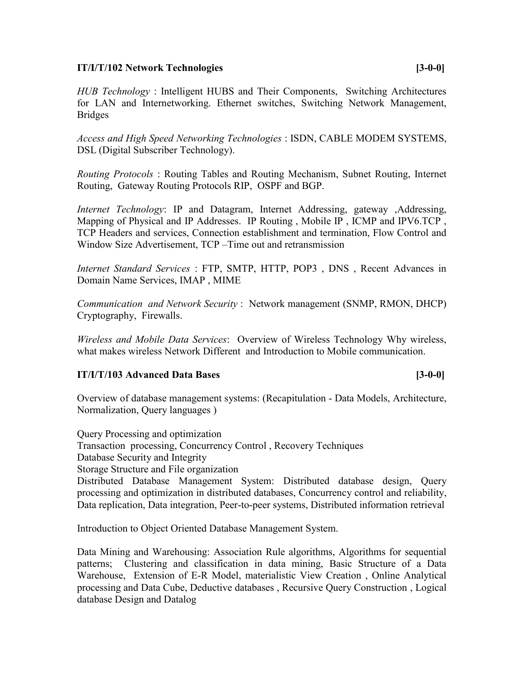### **IT/I/T/102 Network Technologies [3-0-0]**

*HUB Technology* : Intelligent HUBS and Their Components, Switching Architectures for LAN and Internetworking. Ethernet switches, Switching Network Management, Bridges

*Access and High Speed Networking Technologies* : ISDN, CABLE MODEM SYSTEMS, DSL (Digital Subscriber Technology).

*Routing Protocols* : Routing Tables and Routing Mechanism, Subnet Routing, Internet Routing, Gateway Routing Protocols RIP, OSPF and BGP.

*Internet Technology*: IP and Datagram, Internet Addressing, gateway ,Addressing, Mapping of Physical and IP Addresses. IP Routing , Mobile IP , ICMP and IPV6.TCP , TCP Headers and services, Connection establishment and termination, Flow Control and Window Size Advertisement, TCP –Time out and retransmission

*Internet Standard Services* : FTP, SMTP, HTTP, POP3 , DNS , Recent Advances in Domain Name Services, IMAP , MIME

*Communication and Network Security* : Network management (SNMP, RMON, DHCP) Cryptography, Firewalls.

*Wireless and Mobile Data Services*: Overview of Wireless Technology Why wireless, what makes wireless Network Different and Introduction to Mobile communication.

### **IT/I/T/103 Advanced Data Bases [3-0-0]**

Overview of database management systems: (Recapitulation - Data Models, Architecture, Normalization, Query languages )

Query Processing and optimization

Transaction processing, Concurrency Control , Recovery Techniques

Database Security and Integrity

Storage Structure and File organization

Distributed Database Management System: Distributed database design, Query processing and optimization in distributed databases, Concurrency control and reliability, Data replication, Data integration, Peer-to-peer systems, Distributed information retrieval

Introduction to Object Oriented Database Management System.

Data Mining and Warehousing: Association Rule algorithms, Algorithms for sequential patterns; Clustering and classification in data mining, Basic Structure of a Data Warehouse, Extension of E-R Model, materialistic View Creation , Online Analytical processing and Data Cube, Deductive databases , Recursive Query Construction , Logical database Design and Datalog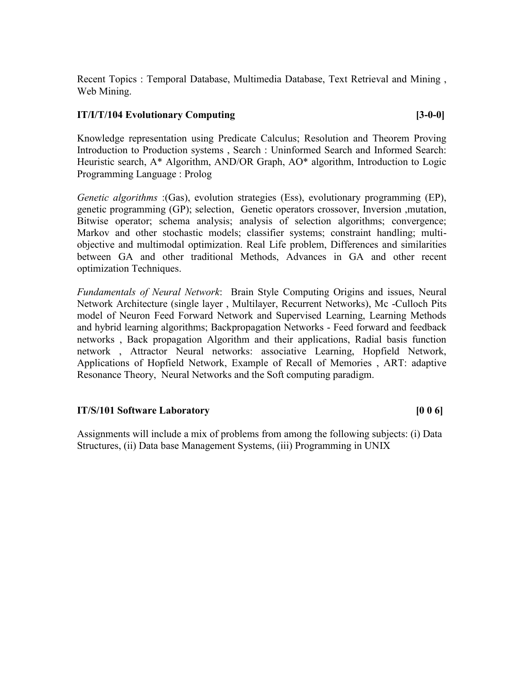Recent Topics : Temporal Database, Multimedia Database, Text Retrieval and Mining , Web Mining.

### **IT/I/T/104 Evolutionary Computing [3-0-0]**

Knowledge representation using Predicate Calculus; Resolution and Theorem Proving Introduction to Production systems , Search : Uninformed Search and Informed Search: Heuristic search, A\* Algorithm, AND/OR Graph, AO\* algorithm, Introduction to Logic Programming Language : Prolog

*Genetic algorithms* :(Gas), evolution strategies (Ess), evolutionary programming (EP), genetic programming (GP); selection, Genetic operators crossover, Inversion ,mutation, Bitwise operator; schema analysis; analysis of selection algorithms; convergence; Markov and other stochastic models; classifier systems; constraint handling; multiobjective and multimodal optimization. Real Life problem, Differences and similarities between GA and other traditional Methods, Advances in GA and other recent optimization Techniques.

*Fundamentals of Neural Network*: Brain Style Computing Origins and issues, Neural Network Architecture (single layer , Multilayer, Recurrent Networks), Mc -Culloch Pits model of Neuron Feed Forward Network and Supervised Learning, Learning Methods and hybrid learning algorithms; Backpropagation Networks - Feed forward and feedback networks , Back propagation Algorithm and their applications, Radial basis function network , Attractor Neural networks: associative Learning, Hopfield Network, Applications of Hopfield Network, Example of Recall of Memories , ART: adaptive Resonance Theory, Neural Networks and the Soft computing paradigm.

### **IT/S/101 Software Laboratory [0 0 6]**

Assignments will include a mix of problems from among the following subjects: (i) Data Structures, (ii) Data base Management Systems, (iii) Programming in UNIX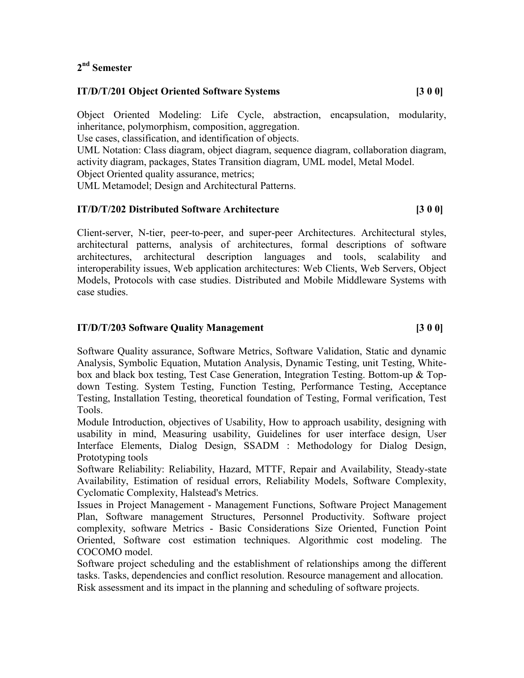# **2 nd Semester**

### **IT/D/T/201 Object Oriented Software Systems [3 0 0]**

Object Oriented Modeling: Life Cycle, abstraction, encapsulation, modularity, inheritance, polymorphism, composition, aggregation.

Use cases, classification, and identification of objects.

UML Notation: Class diagram, object diagram, sequence diagram, collaboration diagram, activity diagram, packages, States Transition diagram, UML model, Metal Model.

Object Oriented quality assurance, metrics;

UML Metamodel; Design and Architectural Patterns.

# **IT/D/T/202 Distributed Software Architecture [3 0 0]**

Client-server, N-tier, peer-to-peer, and super-peer Architectures. Architectural styles, architectural patterns, analysis of architectures, formal descriptions of software architectures, architectural description languages and tools, scalability and interoperability issues, Web application architectures: Web Clients, Web Servers, Object Models, Protocols with case studies. Distributed and Mobile Middleware Systems with case studies.

### **IT/D/T/203 Software Quality Management [3 0 0]**

Software Quality assurance, Software Metrics, Software Validation, Static and dynamic Analysis, Symbolic Equation, Mutation Analysis, Dynamic Testing, unit Testing, Whitebox and black box testing, Test Case Generation, Integration Testing. Bottom-up & Topdown Testing. System Testing, Function Testing, Performance Testing, Acceptance Testing, Installation Testing, theoretical foundation of Testing, Formal verification, Test Tools.

Module Introduction, objectives of Usability, How to approach usability, designing with usability in mind, Measuring usability, Guidelines for user interface design, User Interface Elements, Dialog Design, SSADM : Methodology for Dialog Design, Prototyping tools

Software Reliability: Reliability, Hazard, MTTF, Repair and Availability, Steady-state Availability, Estimation of residual errors, Reliability Models, Software Complexity, Cyclomatic Complexity, Halstead's Metrics.

Issues in Project Management - Management Functions, Software Project Management Plan, Software management Structures, Personnel Productivity. Software project complexity, software Metrics - Basic Considerations Size Oriented, Function Point Oriented, Software cost estimation techniques. Algorithmic cost modeling. The COCOMO model.

Software project scheduling and the establishment of relationships among the different tasks. Tasks, dependencies and conflict resolution. Resource management and allocation. Risk assessment and its impact in the planning and scheduling of software projects.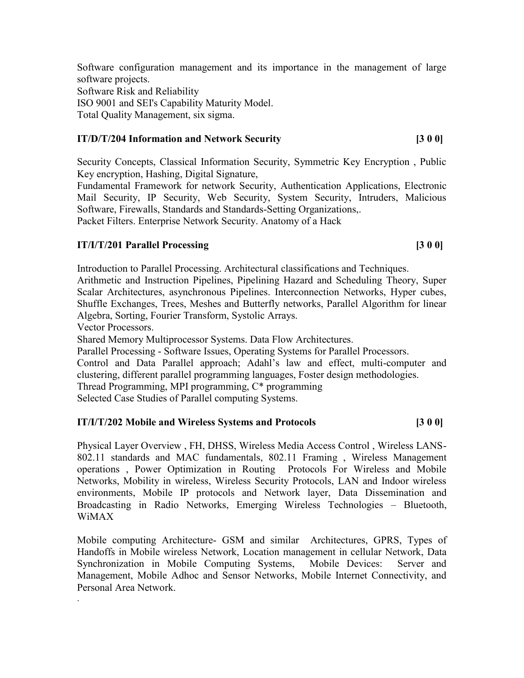Software configuration management and its importance in the management of large software projects. Software Risk and Reliability ISO 9001 and SEI's Capability Maturity Model. Total Quality Management, six sigma.

### **IT/D/T/204 Information and Network Security [3 0 0]**

Security Concepts, Classical Information Security, Symmetric Key Encryption , Public Key encryption, Hashing, Digital Signature,

Fundamental Framework for network Security, Authentication Applications, Electronic Mail Security, IP Security, Web Security, System Security, Intruders, Malicious Software, Firewalls, Standards and Standards-Setting Organizations,. Packet Filters. Enterprise Network Security. Anatomy of a Hack

### **IT/I/T/201 Parallel Processing** [3 0 0]

Introduction to Parallel Processing. Architectural classifications and Techniques.

Arithmetic and Instruction Pipelines, Pipelining Hazard and Scheduling Theory, Super Scalar Architectures, asynchronous Pipelines. Interconnection Networks, Hyper cubes, Shuffle Exchanges, Trees, Meshes and Butterfly networks, Parallel Algorithm for linear Algebra, Sorting, Fourier Transform, Systolic Arrays.

Vector Processors.

.

Shared Memory Multiprocessor Systems. Data Flow Architectures.

Parallel Processing - Software Issues, Operating Systems for Parallel Processors.

Control and Data Parallel approach; Adahl's law and effect, multi-computer and clustering, different parallel programming languages, Foster design methodologies.

Thread Programming, MPI programming, C\* programming

Selected Case Studies of Parallel computing Systems.

### **IT/I/T/202 Mobile and Wireless Systems and Protocols [3 0 0]**

Physical Layer Overview , FH, DHSS, Wireless Media Access Control , Wireless LANS-802.11 standards and MAC fundamentals, 802.11 Framing , Wireless Management operations , Power Optimization in Routing Protocols For Wireless and Mobile Networks, Mobility in wireless, Wireless Security Protocols, LAN and Indoor wireless environments, Mobile IP protocols and Network layer, Data Dissemination and Broadcasting in Radio Networks, Emerging Wireless Technologies – Bluetooth, WiMAX

Mobile computing Architecture- GSM and similar Architectures, GPRS, Types of Handoffs in Mobile wireless Network, Location management in cellular Network, Data Synchronization in Mobile Computing Systems, Mobile Devices: Server and Management, Mobile Adhoc and Sensor Networks, Mobile Internet Connectivity, and Personal Area Network.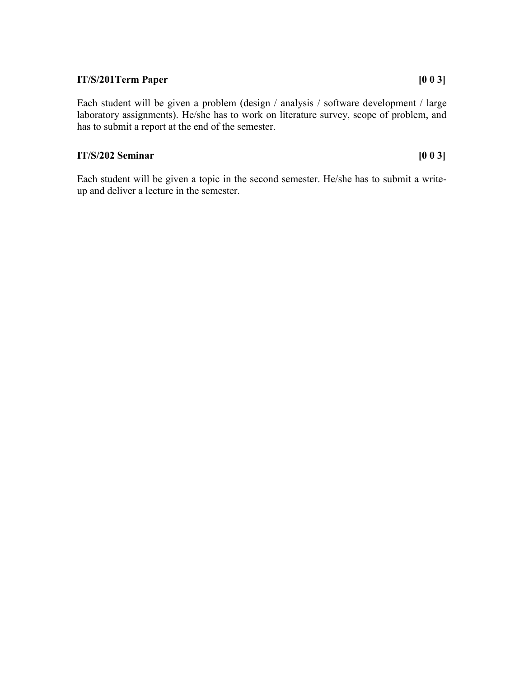### **IT/S/201Term Paper [0 0 3]**

Each student will be given a problem (design / analysis / software development / large laboratory assignments). He/she has to work on literature survey, scope of problem, and has to submit a report at the end of the semester.

# **IT/S/202 Seminar [0 0 3]**

Each student will be given a topic in the second semester. He/she has to submit a writeup and deliver a lecture in the semester.